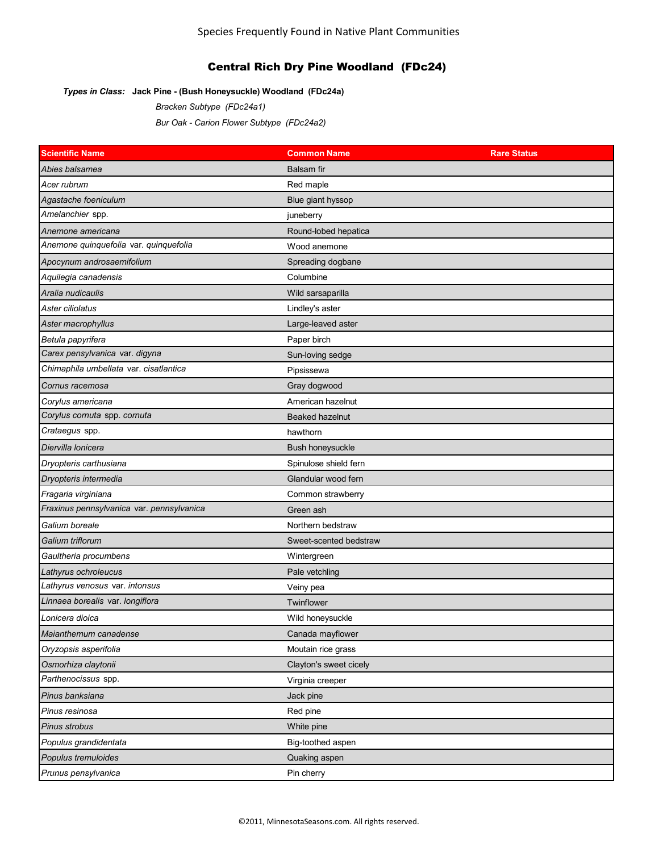# Central Rich Dry Pine Woodland (FDc24)

## *Types in Class:* **Jack Pine - (Bush Honeysuckle) Woodland (FDc24a)**

*Bracken Subtype (FDc24a1) Bur Oak - Carion Flower Subtype (FDc24a2)*

| <b>Scientific Name</b>                    | <b>Common Name</b>     | <b>Rare Status</b> |
|-------------------------------------------|------------------------|--------------------|
| Abies balsamea                            | <b>Balsam</b> fir      |                    |
| Acer rubrum                               | Red maple              |                    |
| Agastache foeniculum                      | Blue giant hyssop      |                    |
| Amelanchier spp.                          | juneberry              |                    |
| Anemone americana                         | Round-lobed hepatica   |                    |
| Anemone quinquefolia var. quinquefolia    | Wood anemone           |                    |
| Apocynum androsaemifolium                 | Spreading dogbane      |                    |
| Aquilegia canadensis                      | Columbine              |                    |
| Aralia nudicaulis                         | Wild sarsaparilla      |                    |
| Aster ciliolatus                          | Lindley's aster        |                    |
| Aster macrophyllus                        | Large-leaved aster     |                    |
| Betula papyrifera                         | Paper birch            |                    |
| Carex pensylvanica var. digyna            | Sun-loving sedge       |                    |
| Chimaphila umbellata var. cisatlantica    | Pipsissewa             |                    |
| Cornus racemosa                           | Gray dogwood           |                    |
| Corylus americana                         | American hazelnut      |                    |
| Corylus cornuta spp. cornuta              | <b>Beaked hazelnut</b> |                    |
| Crataegus spp.                            | hawthorn               |                    |
| Diervilla Ionicera                        | Bush honeysuckle       |                    |
| Dryopteris carthusiana                    | Spinulose shield fern  |                    |
| Dryopteris intermedia                     | Glandular wood fern    |                    |
| Fragaria virginiana                       | Common strawberry      |                    |
| Fraxinus pennsylvanica var. pennsylvanica | Green ash              |                    |
| Galium boreale                            | Northern bedstraw      |                    |
| Galium triflorum                          | Sweet-scented bedstraw |                    |
| Gaultheria procumbens                     | Wintergreen            |                    |
| Lathyrus ochroleucus                      | Pale vetchling         |                    |
| Lathyrus venosus var. intonsus            | Veiny pea              |                    |
| Linnaea borealis var. longiflora          | Twinflower             |                    |
| Lonicera dioica                           | Wild honeysuckle       |                    |
| Maianthemum canadense                     | Canada mayflower       |                    |
| Oryzopsis asperifolia                     | Moutain rice grass     |                    |
| Osmorhiza claytonii                       | Clayton's sweet cicely |                    |
| Parthenocissus spp.                       | Virginia creeper       |                    |
| Pinus banksiana                           | Jack pine              |                    |
| Pinus resinosa                            | Red pine               |                    |
| Pinus strobus                             | White pine             |                    |
| Populus grandidentata                     | Big-toothed aspen      |                    |
| Populus tremuloides                       | Quaking aspen          |                    |
| Prunus pensylvanica                       | Pin cherry             |                    |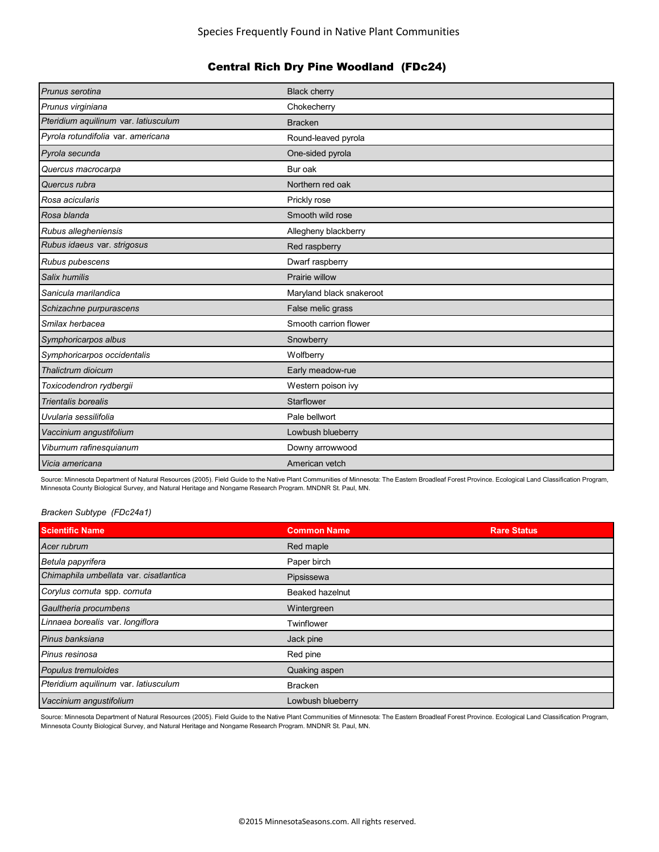# Central Rich Dry Pine Woodland (FDc24)

| Prunus serotina                      | <b>Black cherry</b>      |
|--------------------------------------|--------------------------|
| Prunus virginiana                    | Chokecherry              |
| Pteridium aquilinum var. latiusculum | <b>Bracken</b>           |
| Pyrola rotundifolia var. americana   | Round-leaved pyrola      |
| Pyrola secunda                       | One-sided pyrola         |
| Quercus macrocarpa                   | Bur oak                  |
| Quercus rubra                        | Northern red oak         |
| Rosa acicularis                      | Prickly rose             |
| Rosa blanda                          | Smooth wild rose         |
| Rubus allegheniensis                 | Allegheny blackberry     |
| Rubus idaeus var. strigosus          | Red raspberry            |
| Rubus pubescens                      | Dwarf raspberry          |
| Salix humilis                        | Prairie willow           |
| Sanicula marilandica                 | Maryland black snakeroot |
| Schizachne purpurascens              | False melic grass        |
| Smilax herbacea                      | Smooth carrion flower    |
| Symphoricarpos albus                 | Snowberry                |
| Symphoricarpos occidentalis          | Wolfberry                |
| Thalictrum dioicum                   | Early meadow-rue         |
| Toxicodendron rydbergii              | Western poison ivy       |
| Trientalis borealis                  | Starflower               |
| Uvularia sessilifolia                | Pale bellwort            |
| Vaccinium angustifolium              | Lowbush blueberry        |
| Viburnum rafinesquianum              | Downy arrowwood          |
| Vicia americana                      | American vetch           |

Source: Minnesota Department of Natural Resources (2005). Field Guide to the Native Plant Communities of Minnesota: The Eastern Broadleaf Forest Province. Ecological Land Classification Program, Minnesota County Biological Survey, and Natural Heritage and Nongame Research Program. MNDNR St. Paul, MN.

## *Bracken Subtype (FDc24a1)*

| <b>Scientific Name</b>                 | <b>Common Name</b> | <b>Rare Status</b> |
|----------------------------------------|--------------------|--------------------|
| Acer rubrum                            | Red maple          |                    |
| Betula papyrifera                      | Paper birch        |                    |
| Chimaphila umbellata var. cisatlantica | Pipsissewa         |                    |
| Corylus cornuta spp. cornuta           | Beaked hazelnut    |                    |
| Gaultheria procumbens                  | Wintergreen        |                    |
| Linnaea borealis var. longiflora       | Twinflower         |                    |
| Pinus banksiana                        | Jack pine          |                    |
| Pinus resinosa                         | Red pine           |                    |
| Populus tremuloides                    | Quaking aspen      |                    |
| Pteridium aquilinum var. latiusculum   | <b>Bracken</b>     |                    |
| Vaccinium angustifolium                | Lowbush blueberry  |                    |

Source: Minnesota Department of Natural Resources (2005). Field Guide to the Native Plant Communities of Minnesota: The Eastern Broadleaf Forest Province. Ecological Land Classification Program, Minnesota County Biological Survey, and Natural Heritage and Nongame Research Program. MNDNR St. Paul, MN.